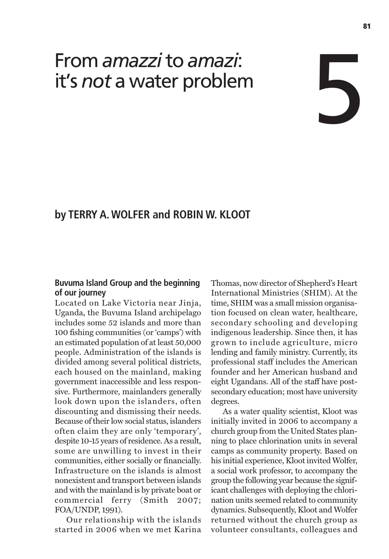# From *amazzi*to *amazi*: it's *not* a water problem

## **by TERRY A. WOLFER and ROBIN W. KLOOT**

#### **Buvuma Island Group and the beginning of our journey**

Located on Lake Victoria near Jinja, Uganda, the Buvuma Island archipelago includes some 52 islands and more than 100 fishing communities (or 'camps') with an estimated population of at least 50,000 people. Administration of the islands is divided among several political districts, each housed on the mainland, making government inaccessible and less responsive. Furthermore, mainlanders generally look down upon the islanders, often discounting and dismissing their needs. Because of their low social status, islanders often claim they are only 'temporary', despite 10-15 years of residence. As a result, some are unwilling to invest in their communities, either socially or financially. Infrastructure on the islands is almost nonexistent and transport between islands and with the mainland is by private boat or commercial ferry (Smith 2007; FOA/UNDP, 1991).

Our relationship with the islands started in 2006 when we met Karina Thomas, now director of Shepherd's Heart International Ministries (SHIM). At the time, SHIM was a small mission organisation focused on clean water, healthcare, secondary schooling and developing indigenous leadership. Since then, it has grown to include agriculture, micro lending and family ministry. Currently, its professional staff includes the American founder and her American husband and eight Ugandans. All of the staff have postsecondary education; most have university degrees.

As a water quality scientist, Kloot was initially invited in 2006 to accompany a church group from the United States planning to place chlorination units in several camps as community property. Based on his initial experience, Kloot invited Wolfer, a social work professor, to accompany the group the following year because the significant challenges with deploying the chlorination units seemed related to community dynamics. Subsequently, Kloot and Wolfer returned without the church group as volunteer consultants, colleagues and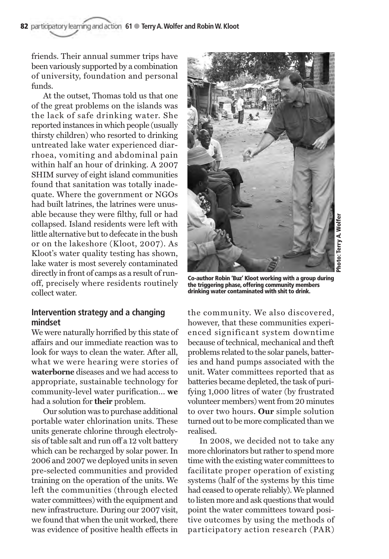friends. Their annual summer trips have been variously supported by a combination of university, foundation and personal funds.

At the outset, Thomas told us that one of the great problems on the islands was the lack of safe drinking water. She reported instances in which people (usually thirsty children) who resorted to drinking untreated lake water experienced diarrhoea, vomiting and abdominal pain within half an hour of drinking. A 2007 SHIM survey of eight island communities found that sanitation was totally inadequate. Where the government or NGOs had built latrines, the latrines were unusable because they were filthy, full or had collapsed. Island residents were left with little alternative but to defecate in the bush or on the lakeshore (Kloot, 2007). As Kloot's water quality testing has shown, lake water is most severely contaminated directly in front of camps as a result of runoff, precisely where residents routinely collect water.

#### **Intervention strategy and a changing mindset**

We were naturally horrified by this state of affairs and our immediate reaction was to look for ways to clean the water. After all, what we were hearing were stories of **waterborne** diseases and we had access to appropriate, sustainable technology for community-level water purification… **we** had a solution for **their** problem.

Our solution was to purchase additional portable water chlorination units. These units generate chlorine through electrolysis of table salt and run off a 12 volt battery which can be recharged by solar power. In 2006 and 2007 we deployed units in seven pre-selected communities and provided training on the operation of the units. We left the communities (through elected water committees) with the equipment and new infrastructure. During our 2007 visit, we found that when the unit worked, there was evidence of positive health effects in



**Co-author Robin 'Buz' Kloot working with a group during the triggering phase, offering community members drinking water contaminated with shit to drink.**

the community. We also discovered, however, that these communities experienced significant system downtime because of technical, mechanical and theft problems related to the solar panels, batteries and hand pumps associated with the unit. Water committees reported that as batteries became depleted, the task of purifying 1,000 litres of water (by frustrated volunteer members) went from 20 minutes to over two hours. **Our** simple solution turned out to be more complicated than we realised.

In 2008, we decided not to take any more chlorinators but rather to spend more time with the existing water committees to facilitate proper operation of existing systems (half of the systems by this time had ceased to operate reliably). We planned to listen more and ask questions that would point the water committees toward positive outcomes by using the methods of participatory action research (PAR)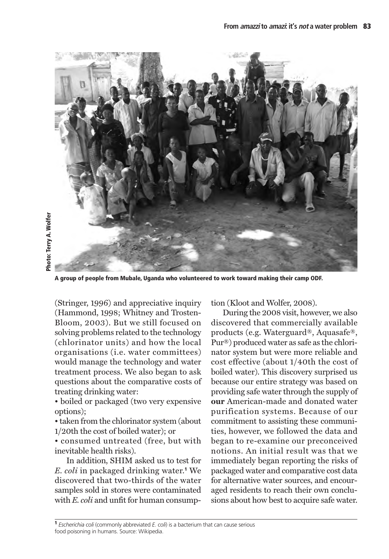

**A group of people from Mubale, Uganda who volunteered to work toward making their camp ODF.** 

(Stringer, 1996) and appreciative inquiry (Hammond, 1998; Whitney and Trosten-Bloom, 2003). But we still focused on solving problems related to the technology (chlorinator units) and how the local organisations (i.e. water committees) would manage the technology and water treatment process. We also began to ask questions about the comparative costs of treating drinking water:

• boiled or packaged (two very expensive options);

• taken from the chlorinator system (about 1/20th the cost of boiled water); or

• consumed untreated (free, but with inevitable health risks).

In addition, SHIM asked us to test for *E. coli* in packaged drinking water.**<sup>1</sup>** We discovered that two-thirds of the water samples sold in stores were contaminated with *E. coli* and unfit for human consumption (Kloot and Wolfer, 2008).

During the 2008 visit, however, we also discovered that commercially available products (e.g. Waterguard®, Aquasafe®, Pur®) produced water as safe as the chlorinator system but were more reliable and cost effective (about 1/40th the cost of boiled water). This discovery surprised us because our entire strategy was based on providing safe water through the supply of **our** American-made and donated water purification systems. Because of our commitment to assisting these communities, however, we followed the data and began to re-examine our preconceived notions. An initial result was that we immediately began reporting the risks of packaged water and comparative cost data for alternative water sources, and encouraged residents to reach their own conclusions about how best to acquire safe water.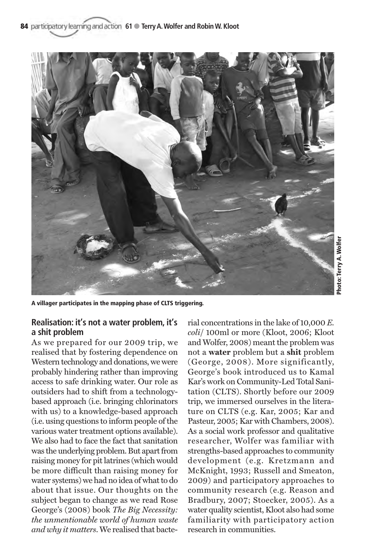

**A villager participates in the mapping phase of CLTS triggering.**

### **Realisation: it's not a water problem, it's a shit problem**

As we prepared for our 2009 trip, we realised that by fostering dependence on Western technology and donations, we were probably hindering rather than improving access to safe drinking water. Our role as outsiders had to shift from a technologybased approach (i.e. bringing chlorinators with us) to a knowledge-based approach (i.e. using questions to inform people of the various water treatment options available). We also had to face the fact that sanitation was the underlying problem. But apart from raising money for pit latrines (which would be more difficult than raising money for water systems) we had no idea of what to do about that issue. Our thoughts on the subject began to change as we read Rose George's (2008) book *The Big Necessity: the unmentionable world of human waste and why it matters*. We realised that bacterial concentrations in the lake of 10,000 *E. coli*/ 100ml or more (Kloot, 2006; Kloot and Wolfer, 2008) meant the problem was not a **water** problem but a **shit** problem (George, 2008). More significantly, George's book introduced us to Kamal Kar's work on Community-Led Total Sanitation (CLTS). Shortly before our 2009 trip, we immersed ourselves in the literature on CLTS (e.g. Kar, 2005; Kar and Pasteur, 2005; Kar with Chambers, 2008). As a social work professor and qualitative researcher, Wolfer was familiar with strengths-based approaches to community development (e.g. Kretzmann and McKnight, 1993; Russell and Smeaton, 2009) and participatory approaches to community research (e.g. Reason and Bradbury, 2007; Stoecker, 2005). As a water quality scientist, Kloot also had some familiarity with participatory action research in communities.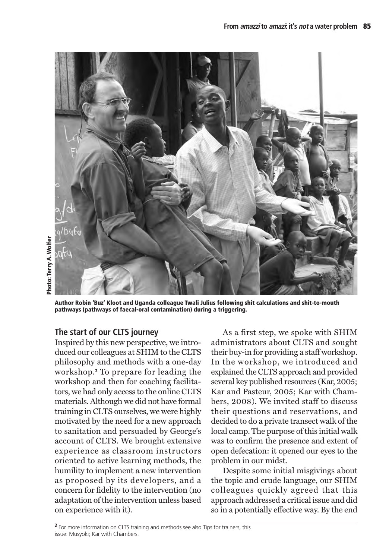

**Author Robin 'Buz' Kloot and Uganda colleague Twali Julius following shit calculations and shit-to-mouth pathways (pathways of faecal-oral contamination) during a triggering.** 

### **The start of our CLTS journey**

Inspired by this new perspective, we introduced our colleagues at SHIM to the CLTS philosophy and methods with a one-day workshop.**<sup>2</sup>** To prepare for leading the workshop and then for coaching facilitators, we had only access to the online CLTS materials. Although we did not have formal training in CLTS ourselves, we were highly motivated by the need for a new approach to sanitation and persuaded by George's account of CLTS. We brought extensive experience as classroom instructors oriented to active learning methods, the humility to implement a new intervention as proposed by its developers, and a concern for fidelity to the intervention (no adaptation of the intervention unless based on experience with it).

As a first step, we spoke with SHIM administrators about CLTS and sought their buy-in for providing a staff workshop. In the workshop, we introduced and explained the CLTS approach and provided several key published resources (Kar, 2005; Kar and Pasteur, 2005; Kar with Chambers, 2008). We invited staff to discuss their questions and reservations, and decided to do a private transect walk of the local camp. The purpose of this initial walk was to confirm the presence and extent of open defecation: it opened our eyes to the problem in our midst.

Despite some initial misgivings about the topic and crude language, our SHIM colleagues quickly agreed that this approach addressed a critical issue and did so in a potentially effective way. By the end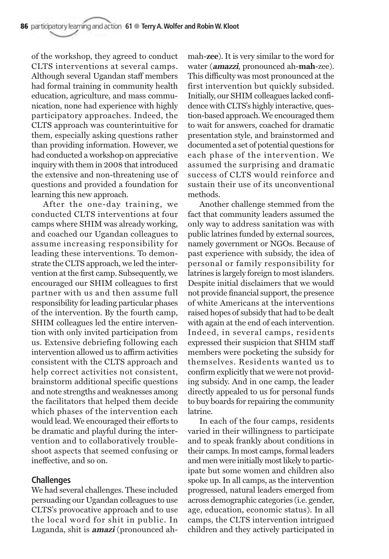of the workshop, they agreed to conduct CLTS interventions at several camps. Although several Ugandan staff members had formal training in community health education, agriculture, and mass communication, none had experience with highly participatory approaches. Indeed, the CLTS approach was counterintuitive for them, especially asking questions rather than providing information. However, we had conducted a workshop on appreciative inquiry with them in 2008 that introduced the extensive and non-threatening use of questions and provided a foundation for learning this new approach.

After the one-day training, we conducted CLTS interventions at four camps where SHIM was already working, and coached our Ugandan colleagues to assume increasing responsibility for leading these interventions. To demonstrate the CLTS approach, we led the intervention at the first camp. Subsequently, we encouraged our SHIM colleagues to first partner with us and then assume full responsibility for leading particular phases of the intervention. By the fourth camp, SHIM colleagues led the entire intervention with only invited participation from us. Extensive debriefing following each intervention allowed us to affirm activities consistent with the CLTS approach and help correct activities not consistent, brainstorm additional specific questions and note strengths and weaknesses among the facilitators that helped them decide which phases of the intervention each would lead. We encouraged their efforts to be dramatic and playful during the intervention and to collaboratively troubleshoot aspects that seemed confusing or ineffective, and so on.

#### **Challenges**

We had several challenges. These included persuading our Ugandan colleagues to use CLTS's provocative approach and to use the local word for shit in public. In Luganda, shit is **amazi** (pronounced ahmah-**zee**). It is very similar to the word for water (**amazzi**, pronounced ah-**mah**-zee). This difficulty was most pronounced at the first intervention but quickly subsided. Initially, our SHIM colleagues lacked confidence with CLTS's highly interactive, question-based approach. We encouraged them to wait for answers, coached for dramatic presentation style, and brainstormed and documented a set of potential questions for each phase of the intervention. We assumed the surprising and dramatic success of CLTS would reinforce and sustain their use of its unconventional methods.

Another challenge stemmed from the fact that community leaders assumed the only way to address sanitation was with public latrines funded by external sources, namely government or NGOs. Because of past experience with subsidy, the idea of personal or family responsibility for latrines is largely foreign to most islanders. Despite initial disclaimers that we would not provide financial support, the presence of white Americans at the interventions raised hopes of subsidy that had to be dealt with again at the end of each intervention. Indeed, in several camps, residents expressed their suspicion that SHIM staff members were pocketing the subsidy for themselves. Residents wanted us to confirm explicitly that we were not providing subsidy. And in one camp, the leader directly appealed to us for personal funds to buy boards for repairing the community latrine.

In each of the four camps, residents varied in their willingness to participate and to speak frankly about conditions in their camps. In most camps, formal leaders and men were initially most likely to participate but some women and children also spoke up. In all camps, as the intervention progressed, natural leaders emerged from across demographic categories (i.e. gender, age, education, economic status). In all camps, the CLTS intervention intrigued children and they actively participated in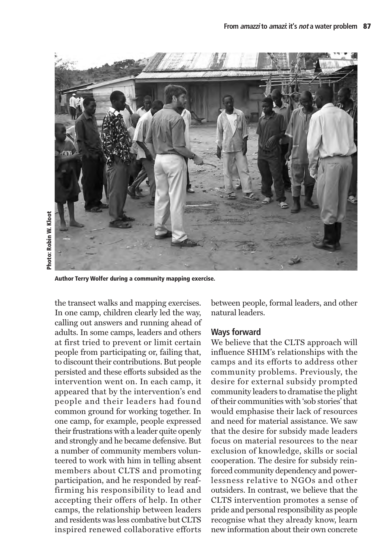

**Author Terry Wolfer during a community mapping exercise.**

the transect walks and mapping exercises. In one camp, children clearly led the way, calling out answers and running ahead of adults. In some camps, leaders and others at first tried to prevent or limit certain people from participating or, failing that, to discount their contributions. But people persisted and these efforts subsided as the intervention went on. In each camp, it appeared that by the intervention's end people and their leaders had found common ground for working together. In one camp, for example, people expressed their frustrations with a leader quite openly and strongly and he became defensive. But a number of community members volunteered to work with him in telling absent members about CLTS and promoting participation, and he responded by reaffirming his responsibility to lead and accepting their offers of help. In other camps, the relationship between leaders and residents was less combative but CLTS inspired renewed collaborative efforts between people, formal leaders, and other natural leaders.

#### **Ways forward**

We believe that the CLTS approach will influence SHIM's relationships with the camps and its efforts to address other community problems. Previously, the desire for external subsidy prompted community leaders to dramatise the plight of their communities with 'sob stories' that would emphasise their lack of resources and need for material assistance. We saw that the desire for subsidy made leaders focus on material resources to the near exclusion of knowledge, skills or social cooperation. The desire for subsidy reinforced community dependency and powerlessness relative to NGOs and other outsiders. In contrast, we believe that the CLTS intervention promotes a sense of pride and personal responsibility as people recognise what they already know, learn new information about their own concrete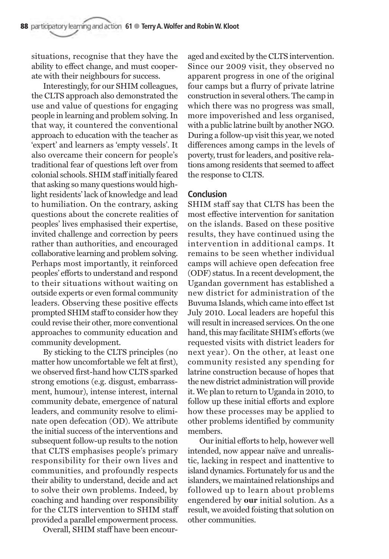situations, recognise that they have the ability to effect change, and must cooperate with their neighbours for success.

Interestingly, for our SHIM colleagues, the CLTS approach also demonstrated the use and value of questions for engaging people in learning and problem solving. In that way, it countered the conventional approach to education with the teacher as 'expert' and learners as 'empty vessels'. It also overcame their concern for people's traditional fear of questions left over from colonial schools. SHIM staff initially feared that asking so many questions would highlight residents' lack of knowledge and lead to humiliation. On the contrary, asking questions about the concrete realities of peoples' lives emphasised their expertise, invited challenge and correction by peers rather than authorities, and encouraged collaborative learning and problem solving. Perhaps most importantly, it reinforced peoples' efforts to understand and respond to their situations without waiting on outside experts or even formal community leaders. Observing these positive effects prompted SHIM staff to consider how they could revise their other, more conventional approaches to community education and community development.

By sticking to the CLTS principles (no matter how uncomfortable we felt at first), we observed first-hand how CLTS sparked strong emotions (e.g. disgust, embarrassment, humour), intense interest, internal community debate, emergence of natural leaders, and community resolve to eliminate open defecation (OD). We attribute the initial success of the interventions and subsequent follow-up results to the notion that CLTS emphasises people's primary responsibility for their own lives and communities, and profoundly respects their ability to understand, decide and act to solve their own problems. Indeed, by coaching and handing over responsibility for the CLTS intervention to SHIM staff provided a parallel empowerment process.

Overall, SHIM staff have been encour-

aged and excited by the CLTS intervention. Since our 2009 visit, they observed no apparent progress in one of the original four camps but a flurry of private latrine construction in several others. The camp in which there was no progress was small, more impoverished and less organised, with a public latrine built by another NGO. During a follow-up visit this year, we noted differences among camps in the levels of poverty, trust for leaders, and positive relations among residents that seemed to affect the response to CLTS.

#### **Conclusion**

SHIM staff say that CLTS has been the most effective intervention for sanitation on the islands. Based on these positive results, they have continued using the intervention in additional camps. It remains to be seen whether individual camps will achieve open defecation free (ODF) status. In a recent development, the Ugandan government has established a new district for administration of the Buvuma Islands, which came into effect 1st July 2010. Local leaders are hopeful this will result in increased services. On the one hand, this may facilitate SHIM's efforts (we requested visits with district leaders for next year). On the other, at least one community resisted any spending for latrine construction because of hopes that the new district administration will provide it. We plan to return to Uganda in 2010, to follow up these initial efforts and explore how these processes may be applied to other problems identified by community members.

Our initial efforts to help, however well intended, now appear naïve and unrealistic, lacking in respect and inattentive to island dynamics. Fortunately for us and the islanders, we maintained relationships and followed up to learn about problems engendered by **our** initial solution. As a result, we avoided foisting that solution on other communities.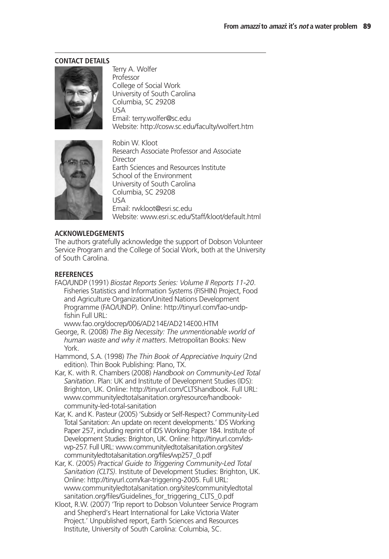#### **CONTACT DETAILS**



Terry A. Wolfer Professor College of Social Work University of South Carolina Columbia, SC 29208 USA Email: terry.wolfer@sc.edu Website: http://cosw.sc.edu/faculty/wolfert.htm



Robin W. Kloot Research Associate Professor and Associate Director Earth Sciences and Resources Institute School of the Environment University of South Carolina Columbia, SC 29208 USA Email: rwkloot@esri.sc.edu Website: www.esri.sc.edu/Staff/kloot/default.html

#### **ACKNOWLEDGEMENTS**

The authors gratefully acknowledge the support of Dobson Volunteer Service Program and the College of Social Work, both at the University of South Carolina.

#### **REFERENCES**

FAO/UNDP (1991) *Biostat Reports Series: Volume II Reports 11-20*. Fisheries Statistics and Information Systems (FISHIN) Project, Food and Agriculture Organization/United Nations Development Programme (FAO/UNDP). Online: http://tinyurl.com/fao-undpfishin Full URL:

www.fao.org/docrep/006/AD214E/AD214E00.HTM

- George, R. (2008) *The Big Necessity: The unmentionable world of human waste and why it matters*. Metropolitan Books: New York.
- Hammond, S.A. (1998) *The Thin Book of Appreciative Inquiry* (2nd edition). Thin Book Publishing: Plano, TX.
- Kar, K. with R. Chambers (2008) *Handbook on Community-Led Total Sanitation*. Plan: UK and Institute of Development Studies (IDS): Brighton, UK. Online: http://tinyurl.com/CLTShandbook. Full URL: www.communityledtotalsanitation.org/resource/handbookcommunity-led-total-sanitation
- Kar, K. and K. Pasteur (2005) 'Subsidy or Self-Respect? Community-Led Total Sanitation: An update on recent developments.' IDS Working Paper 257, including reprint of IDS Working Paper 184. Institute of Development Studies: Brighton, UK. Online: http://tinyurl.com/idswp-257. Full URL: www.communityledtotalsanitation.org/sites/ communityledtotalsanitation.org/files/wp257\_0.pdf
- Kar, K. (2005) *Practical Guide to Triggering Community-Led Total Sanitation (CLTS)*. Institute of Development Studies: Brighton, UK. Online: http://tinyurl.com/kar-triggering-2005. Full URL: www.communityledtotalsanitation.org/sites/communityledtotal sanitation.org/files/Guidelines\_for\_triggering\_CLTS\_0.pdf
- Kloot, R.W. (2007) 'Trip report to Dobson Volunteer Service Program and Shepherd's Heart International for Lake Victoria Water Project.' Unpublished report, Earth Sciences and Resources Institute, University of South Carolina: Columbia, SC.